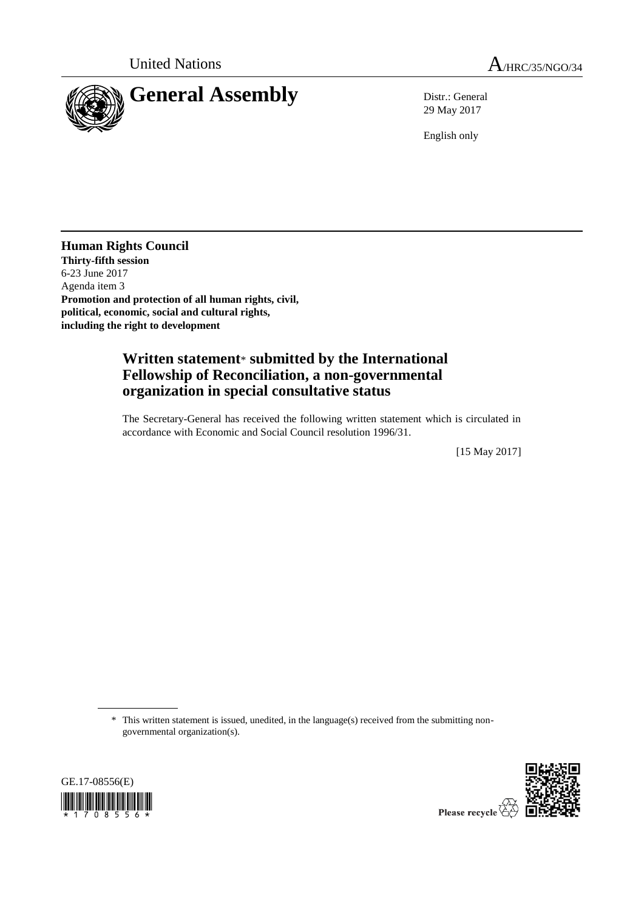

29 May 2017

English only

**Human Rights Council Thirty-fifth session** 6-23 June 2017 Agenda item 3 **Promotion and protection of all human rights, civil, political, economic, social and cultural rights, including the right to development**

## **Written statement**\* **submitted by the International Fellowship of Reconciliation, a non-governmental organization in special consultative status**

The Secretary-General has received the following written statement which is circulated in accordance with Economic and Social Council resolution 1996/31.

[15 May 2017]

<sup>\*</sup> This written statement is issued, unedited, in the language(s) received from the submitting nongovernmental organization(s).





Please recycle  $\overleftrightarrow{C}$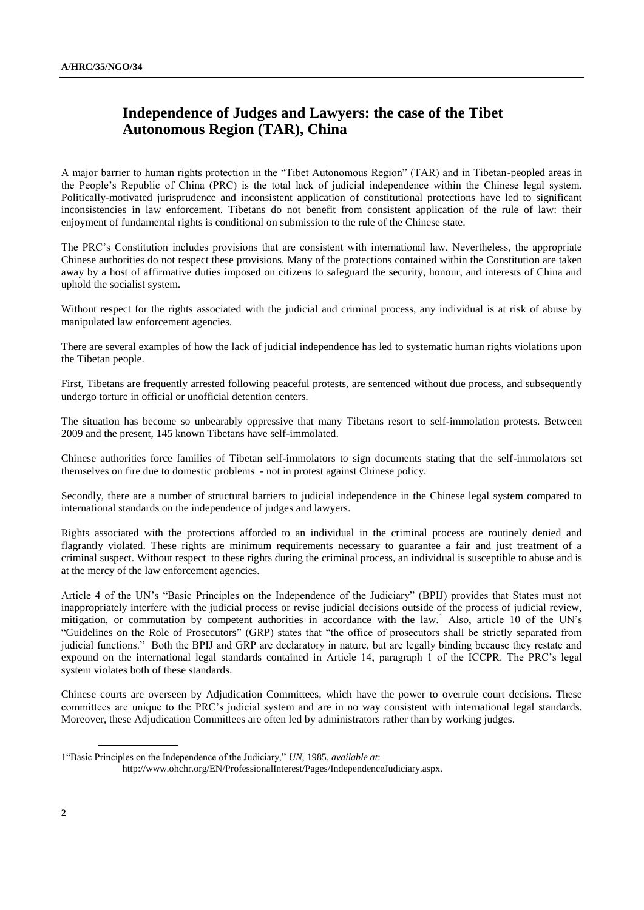## **Independence of Judges and Lawyers: the case of the Tibet Autonomous Region (TAR), China**

A major barrier to human rights protection in the "Tibet Autonomous Region" (TAR) and in Tibetan-peopled areas in the People's Republic of China (PRC) is the total lack of judicial independence within the Chinese legal system. Politically-motivated jurisprudence and inconsistent application of constitutional protections have led to significant inconsistencies in law enforcement. Tibetans do not benefit from consistent application of the rule of law: their enjoyment of fundamental rights is conditional on submission to the rule of the Chinese state.

The PRC's Constitution includes provisions that are consistent with international law. Nevertheless, the appropriate Chinese authorities do not respect these provisions. Many of the protections contained within the Constitution are taken away by a host of affirmative duties imposed on citizens to safeguard the security, honour, and interests of China and uphold the socialist system.

Without respect for the rights associated with the judicial and criminal process, any individual is at risk of abuse by manipulated law enforcement agencies.

There are several examples of how the lack of judicial independence has led to systematic human rights violations upon the Tibetan people.

First, Tibetans are frequently arrested following peaceful protests, are sentenced without due process, and subsequently undergo torture in official or unofficial detention centers.

The situation has become so unbearably oppressive that many Tibetans resort to self-immolation protests. Between 2009 and the present, 145 known Tibetans have self-immolated.

Chinese authorities force families of Tibetan self-immolators to sign documents stating that the self-immolators set themselves on fire due to domestic problems - not in protest against Chinese policy.

Secondly, there are a number of structural barriers to judicial independence in the Chinese legal system compared to international standards on the independence of judges and lawyers.

Rights associated with the protections afforded to an individual in the criminal process are routinely denied and flagrantly violated. These rights are minimum requirements necessary to guarantee a fair and just treatment of a criminal suspect. Without respect to these rights during the criminal process, an individual is susceptible to abuse and is at the mercy of the law enforcement agencies.

Article 4 of the UN's "Basic Principles on the Independence of the Judiciary" (BPIJ) provides that States must not inappropriately interfere with the judicial process or revise judicial decisions outside of the process of judicial review, mitigation, or commutation by competent authorities in accordance with the law.<sup>1</sup> Also, article 10 of the UN's "Guidelines on the Role of Prosecutors" (GRP) states that "the office of prosecutors shall be strictly separated from judicial functions." Both the BPIJ and GRP are declaratory in nature, but are legally binding because they restate and expound on the international legal standards contained in Article 14, paragraph 1 of the ICCPR. The PRC's legal system violates both of these standards.

Chinese courts are overseen by Adjudication Committees, which have the power to overrule court decisions. These committees are unique to the PRC's judicial system and are in no way consistent with international legal standards. Moreover, these Adjudication Committees are often led by administrators rather than by working judges.

<sup>1&</sup>quot;Basic Principles on the Independence of the Judiciary," *UN*, 1985, *available at*:

http://www.ohchr.org/EN/ProfessionalInterest/Pages/IndependenceJudiciary.aspx.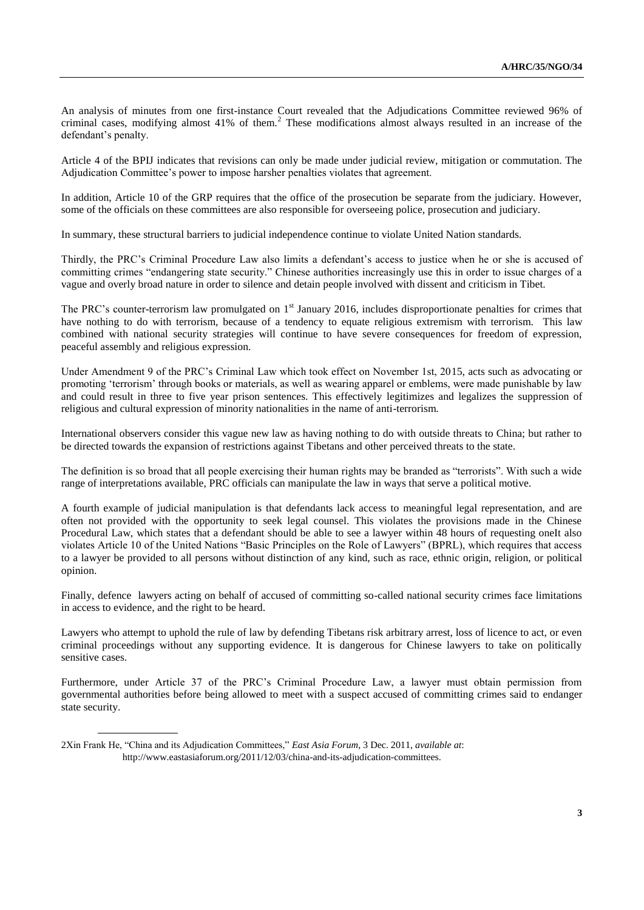An analysis of minutes from one first-instance Court revealed that the Adjudications Committee reviewed 96% of criminal cases, modifying almost 41% of them.<sup>2</sup> These modifications almost always resulted in an increase of the defendant's penalty.

Article 4 of the BPIJ indicates that revisions can only be made under judicial review, mitigation or commutation. The Adjudication Committee's power to impose harsher penalties violates that agreement.

In addition, Article 10 of the GRP requires that the office of the prosecution be separate from the judiciary. However, some of the officials on these committees are also responsible for overseeing police, prosecution and judiciary.

In summary, these structural barriers to judicial independence continue to violate United Nation standards.

Thirdly, the PRC's Criminal Procedure Law also limits a defendant's access to justice when he or she is accused of committing crimes "endangering state security." Chinese authorities increasingly use this in order to issue charges of a vague and overly broad nature in order to silence and detain people involved with dissent and criticism in Tibet.

The PRC's counter-terrorism law promulgated on  $1<sup>st</sup>$  January 2016, includes disproportionate penalties for crimes that have nothing to do with terrorism, because of a tendency to equate religious extremism with terrorism. This law combined with national security strategies will continue to have severe consequences for freedom of expression, peaceful assembly and religious expression.

Under Amendment 9 of the PRC's Criminal Law which took effect on November 1st, 2015, acts such as advocating or promoting 'terrorism' through books or materials, as well as wearing apparel or emblems, were made punishable by law and could result in three to five year prison sentences. This effectively legitimizes and legalizes the suppression of religious and cultural expression of minority nationalities in the name of anti-terrorism.

International observers consider this vague new law as having nothing to do with outside threats to China; but rather to be directed towards the expansion of restrictions against Tibetans and other perceived threats to the state.

The definition is so broad that all people exercising their human rights may be branded as "terrorists". With such a wide range of interpretations available, PRC officials can manipulate the law in ways that serve a political motive.

A fourth example of judicial manipulation is that defendants lack access to meaningful legal representation, and are often not provided with the opportunity to seek legal counsel. This violates the provisions made in the Chinese Procedural Law, which states that a defendant should be able to see a lawyer within 48 hours of requesting oneIt also violates Article 10 of the United Nations "Basic Principles on the Role of Lawyers" (BPRL), which requires that access to a lawyer be provided to all persons without distinction of any kind, such as race, ethnic origin, religion, or political opinion.

Finally, defence lawyers acting on behalf of accused of committing so-called national security crimes face limitations in access to evidence, and the right to be heard.

Lawyers who attempt to uphold the rule of law by defending Tibetans risk arbitrary arrest, loss of licence to act, or even criminal proceedings without any supporting evidence. It is dangerous for Chinese lawyers to take on politically sensitive cases.

Furthermore, under Article 37 of the PRC's Criminal Procedure Law, a lawyer must obtain permission from governmental authorities before being allowed to meet with a suspect accused of committing crimes said to endanger state security.

<sup>2</sup>Xin Frank He, "China and its Adjudication Committees," *East Asia Forum*, 3 Dec. 2011, *available at*: [http://www.eastasiaforum.org/2011/12/03/china-and-its-adjudication-committees.](http://www.eastasiaforum.org/2011/12/03/china-and-its-adjudication-committees)